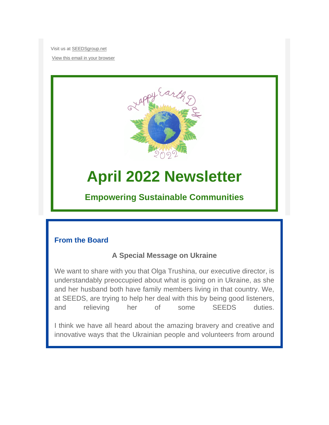Visit us at [SEEDSgroup.net](https://seedsgroup.us4.list-manage.com/track/click?u=2de0c21d43d0fd0237e9e7b4f&id=a703fa3b1d&e=95734a3485)

[View this email in your browser](https://mailchi.mp/3bf666eb06f9/june-2021-newsletter-15311628?e=95734a3485)



# **April 2022 Newsletter**

# **Empowering Sustainable Communities**

# **From the Board**

# **A Special Message on Ukraine**

We want to share with you that Olga Trushina, our executive director, is understandably preoccupied about what is going on in Ukraine, as she and her husband both have family members living in that country. We, at SEEDS, are trying to help her deal with this by being good listeners, and relieving her of some SEEDS duties.

I think we have all heard about the amazing bravery and creative and innovative ways that the Ukrainian people and volunteers from around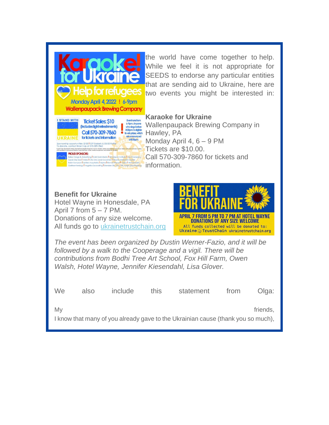

the world have come together to help. While we feel it is not appropriate for SEEDS to endorse any particular entities that are sending aid to Ukraine, here are two events you might be interested in:

#### **Karaoke for Ukraine**

Wallenpaupack Brewing Company in Monday April 4, 6 – 9 PM Tickets are \$10.00. Call 570-309-7860 for tickets and information.

**Benefit for Ukraine** Hotel Wayne in Honesdale, PA April 7 from  $5 - 7$  PM. Donations of any size welcome. All funds go to [ukrainetrustchain.org](https://seedsgroup.us4.list-manage.com/track/click?u=2de0c21d43d0fd0237e9e7b4f&id=f234031503&e=95734a3485)



*The event has been organized by Dustin Werner-Fazio, and it will be followed by a walk to the Cooperage and a vigil. There will be contributions from Bodhi Tree Art School, Fox Hill Farm, Owen Walsh, Hotel Wayne, Jennifer Kiesendahl, Lisa Glover.*

| We l | also | <i>include</i> | this. | statement                                                                        | from | Olga:    |
|------|------|----------------|-------|----------------------------------------------------------------------------------|------|----------|
| Mv   |      |                |       |                                                                                  |      | friends, |
|      |      |                |       | I know that many of you already gave to the Ukrainian cause (thank you so much), |      |          |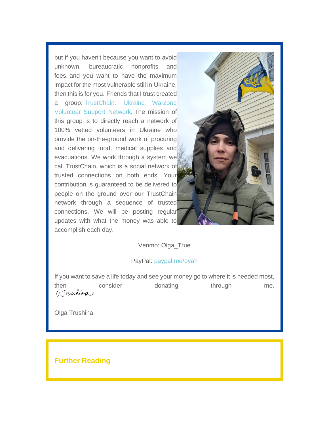but if you haven't because you want to avoid unknown, bureaucratic nonprofits and fees, and you want to have the maximum impact for the most vulnerable still in Ukraine, then this is for you. Friends that I trust created a group: [TrustChain: Ukraine Warzone](https://seedsgroup.us4.list-manage.com/track/click?u=2de0c21d43d0fd0237e9e7b4f&id=143c1ca888&e=95734a3485)  [Volunteer Support Network](https://seedsgroup.us4.list-manage.com/track/click?u=2de0c21d43d0fd0237e9e7b4f&id=143c1ca888&e=95734a3485). The mission of this group is to directly reach a network of 100% vetted volunteers in Ukraine who provide the on-the-ground work of procuring and delivering food, medical supplies and evacuations. We work through a system we call TrustChain, which is a social network of trusted connections on both ends. Your contribution is guaranteed to be delivered to people on the ground over our TrustChain network through a sequence of trusted connections. We will be posting regular updates with what the money was able to accomplish each day.



Venmo: Olga\_True

PayPal: [paypal.me/oyah](https://seedsgroup.us4.list-manage.com/track/click?u=2de0c21d43d0fd0237e9e7b4f&id=6dc928a41f&e=95734a3485)

If you want to save a life today and see your money go to where it is needed most, then consider donating through me. 1. Trushing

Olga Trushina

**Further Reading**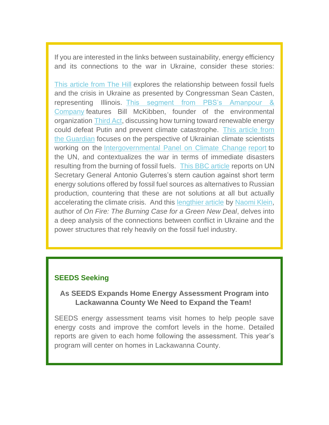If you are interested in the links between sustainability, energy efficiency and its connections to the war in Ukraine, consider these stories:

[This article from The Hill](https://seedsgroup.us4.list-manage.com/track/click?u=2de0c21d43d0fd0237e9e7b4f&id=3fdc28fe18&e=95734a3485) explores the relationship between fossil fuels and the crisis in Ukraine as presented by Congressman Sean Casten, representing Illinois. [This segment from PBS's Amanpour &](https://seedsgroup.us4.list-manage.com/track/click?u=2de0c21d43d0fd0237e9e7b4f&id=1ca3b1a4e8&e=95734a3485)  [Company](https://seedsgroup.us4.list-manage.com/track/click?u=2de0c21d43d0fd0237e9e7b4f&id=1ca3b1a4e8&e=95734a3485) features Bill McKibben, founder of the environmental organization [Third Act](https://seedsgroup.us4.list-manage.com/track/click?u=2de0c21d43d0fd0237e9e7b4f&id=a6addfaf13&e=95734a3485), discussing how turning toward renewable energy could defeat Putin and prevent climate catastrophe. [This article from](https://seedsgroup.us4.list-manage.com/track/click?u=2de0c21d43d0fd0237e9e7b4f&id=09de46d765&e=95734a3485)  [the Guardian](https://seedsgroup.us4.list-manage.com/track/click?u=2de0c21d43d0fd0237e9e7b4f&id=09de46d765&e=95734a3485) focuses on the perspective of Ukrainian climate scientists working on the [Intergovernmental Panel on Climate Change](https://seedsgroup.us4.list-manage.com/track/click?u=2de0c21d43d0fd0237e9e7b4f&id=ed8053b70d&e=95734a3485) [report](https://seedsgroup.us4.list-manage.com/track/click?u=2de0c21d43d0fd0237e9e7b4f&id=6ff27ac303&e=95734a3485) to the UN, and contextualizes the war in terms of immediate disasters resulting from the burning of fossil fuels. [This BBC article](https://seedsgroup.us4.list-manage.com/track/click?u=2de0c21d43d0fd0237e9e7b4f&id=d660a339fb&e=95734a3485) reports on UN Secretary General Antonio Guterres's stern caution against short term energy solutions offered by fossil fuel sources as alternatives to Russian production, countering that these are not solutions at all but actually accelerating the climate crisis. And this [lengthier article](https://seedsgroup.us4.list-manage.com/track/click?u=2de0c21d43d0fd0237e9e7b4f&id=ac1425d8f5&e=95734a3485) by [Naomi Klein](https://seedsgroup.us4.list-manage.com/track/click?u=2de0c21d43d0fd0237e9e7b4f&id=cd48f6f685&e=95734a3485), author of *On Fire: The Burning Case for a Green New Deal*, delves into a deep analysis of the connections between conflict in Ukraine and the power structures that rely heavily on the fossil fuel industry.

#### **SEEDS Seeking**

#### **As SEEDS Expands Home Energy Assessment Program into Lackawanna County We Need to Expand the Team!**

SEEDS energy assessment teams visit homes to help people save energy costs and improve the comfort levels in the home. Detailed reports are given to each home following the assessment. This year's program will center on homes in Lackawanna County.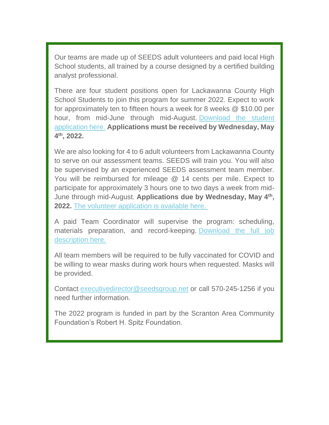Our teams are made up of SEEDS adult volunteers and paid local High School students, all trained by a course designed by a certified building analyst professional.

There are four student positions open for Lackawanna County High School Students to join this program for summer 2022. Expect to work for approximately ten to fifteen hours a week for 8 weeks @ \$10.00 per hour, from mid-June through mid-August. [Download the student](https://seedsgroup.us4.list-manage.com/track/click?u=2de0c21d43d0fd0237e9e7b4f&id=4a2f4d02a9&e=95734a3485)  [application here.](https://seedsgroup.us4.list-manage.com/track/click?u=2de0c21d43d0fd0237e9e7b4f&id=4a2f4d02a9&e=95734a3485) **Applications must be received by Wednesday, May 4 th, 2022.**

We are also looking for 4 to 6 adult volunteers from Lackawanna County to serve on our assessment teams. SEEDS will train you. You will also be supervised by an experienced SEEDS assessment team member. You will be reimbursed for mileage @ 14 cents per mile. Expect to participate for approximately 3 hours one to two days a week from mid-June through mid-August. **Applications due by Wednesday, May 4th , 2022.** [The volunteer application is available here.](https://seedsgroup.us4.list-manage.com/track/click?u=2de0c21d43d0fd0237e9e7b4f&id=b626411ceb&e=95734a3485)

A paid Team Coordinator will supervise the program: scheduling, materials preparation, and record-keeping. [Download the full job](https://seedsgroup.us4.list-manage.com/track/click?u=2de0c21d43d0fd0237e9e7b4f&id=73ad2a4d39&e=95734a3485)  [description here.](https://seedsgroup.us4.list-manage.com/track/click?u=2de0c21d43d0fd0237e9e7b4f&id=73ad2a4d39&e=95734a3485)

All team members will be required to be fully vaccinated for COVID and be willing to wear masks during work hours when requested. Masks will be provided.

Contact [executivedirector@seedsgroup.net](mailto:executivedirector@seedsgroup.net) or call 570-245-1256 if you need further information.

The 2022 program is funded in part by the Scranton Area Community Foundation's Robert H. Spitz Foundation.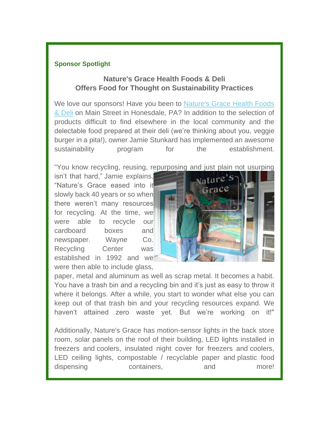#### **Sponsor Spotlight**

## **Nature's Grace Health Foods & Deli Offers Food for Thought on Sustainability Practices**

We love our sponsors! Have you been to [Nature's Grace Health Foods](https://seedsgroup.us4.list-manage.com/track/click?u=2de0c21d43d0fd0237e9e7b4f&id=8f8914fb74&e=95734a3485)  [& Deli](https://seedsgroup.us4.list-manage.com/track/click?u=2de0c21d43d0fd0237e9e7b4f&id=8f8914fb74&e=95734a3485) on Main Street in Honesdale, PA? In addition to the selection of products difficult to find elsewhere in the local community and the delectable food prepared at their deli (we're thinking about you, veggie burger in a pita!), owner Jamie Stunkard has implemented an awesome sustainability program for the establishment.

"You know recycling, reusing, repurposing and just plain not usurping

isn't that hard," Jamie explains, "Nature's Grace eased into it slowly back 40 years or so when there weren't many resources for recycling. At the time, we were able to recycle our cardboard boxes and newspaper. Wayne Co. Recycling Center was established in 1992 and we were then able to include glass.



paper, metal and aluminum as well as scrap metal. It becomes a habit. You have a trash bin and a recycling bin and it's just as easy to throw it where it belongs. After a while, you start to wonder what else you can keep out of that trash bin and your recycling resources expand. We haven't attained zero waste yet. But we're working on it!"

Additionally, Nature's Grace has motion-sensor lights in the back store room, solar panels on the roof of their building, LED lights installed in freezers and coolers, insulated night cover for freezers and coolers, LED ceiling lights, compostable / recyclable paper and plastic food dispensing containers, and more!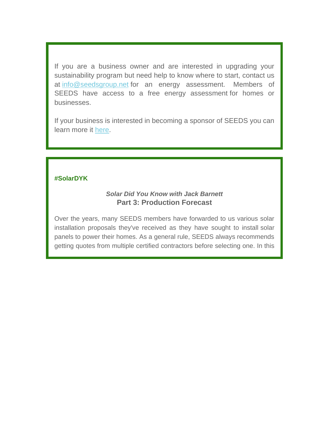If you are a business owner and are interested in upgrading your sustainability program but need help to know where to start, contact us at [info@seedsgroup.net](mailto:info@seedsgroup.net) for an energy assessment. Members of SEEDS have access to a free energy assessment for homes or businesses.

If your business is interested in becoming a sponsor of SEEDS you can learn more it [here](https://seedsgroup.us4.list-manage.com/track/click?u=2de0c21d43d0fd0237e9e7b4f&id=a3f8cccb71&e=95734a3485).

#### **#SolarDYK**

#### *Solar Did You Know with Jack Barnett* **Part 3: Production Forecast**

Over the years, many SEEDS members have forwarded to us various solar installation proposals they've received as they have sought to install solar panels to power their homes. As a general rule, SEEDS always recommends getting quotes from multiple certified contractors before selecting one. In this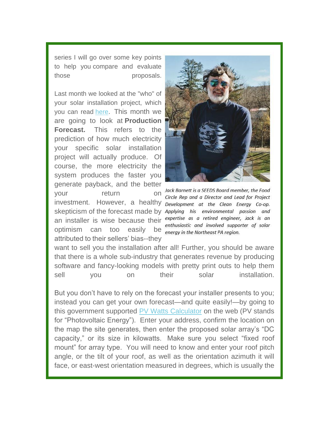series I will go over some key points to help you compare and evaluate those proposals.

Last month we looked at the "who" of your solar installation project, which you can read [here](https://seedsgroup.us4.list-manage.com/track/click?u=2de0c21d43d0fd0237e9e7b4f&id=449e23d402&e=95734a3485). This month we are going to look at **Production Forecast.** This refers to the prediction of how much electricity your specific solar installation project will actually produce. Of course, the more electricity the system produces the faster you generate payback, and the better<br>your return on Jack Barnett is a SEEDS Board member, the Food vour return investment. However, a healthy Development at the Clean Energy Co-op. skepticism of the forecast made by Applying his environmental passion and an installer is wise because their expertise as a retired engineer, Jack is an optimism can too easily be *energy in the Northeast PA region*. attributed to their sellers' bias--they



Circle Rep and a Director and Lead for Project enthusiastic and involved supporter of solar

want to sell you the installation after all! Further, you should be aware that there is a whole sub-industry that generates revenue by producing software and fancy-looking models with pretty print outs to help them sell you on their solar installation.

But you don't have to rely on the forecast your installer presents to you; instead you can get your own forecast—and quite easily!—by going to this government supported [PV Watts Calculator](https://seedsgroup.us4.list-manage.com/track/click?u=2de0c21d43d0fd0237e9e7b4f&id=d6a7ff741e&e=95734a3485) on the web (PV stands for "Photovoltaic Energy"). Enter your address, confirm the location on the map the site generates, then enter the proposed solar array's "DC capacity," or its size in kilowatts. Make sure you select "fixed roof mount" for array type. You will need to know and enter your roof pitch angle, or the tilt of your roof, as well as the orientation azimuth it will face, or east-west orientation measured in degrees, which is usually the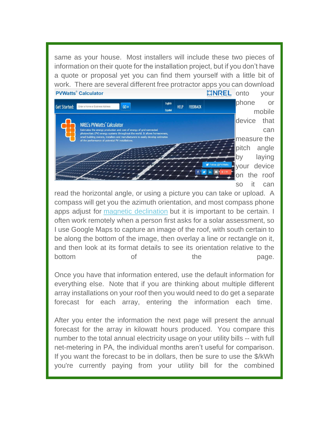same as your house. Most installers will include these two pieces of information on their quote for the installation project, but if you don't have a quote or proposal yet you can find them yourself with a little bit of work. [There are several different free protractor apps you ca](https://seedsgroup.us4.list-manage.com/track/click?u=2de0c21d43d0fd0237e9e7b4f&id=d847dbe081&e=95734a3485)n download **PVWatts<sup>®</sup> Calculator**  $EINREL$  onto your

| Get Started: | Enter a Home or Business Address                                                                                                                     | $60 \times$ | <b>English</b> | <b>HELP</b> | <b>FEEDBACK</b> |                    | phone |        | or          |  |  |
|--------------|------------------------------------------------------------------------------------------------------------------------------------------------------|-------------|----------------|-------------|-----------------|--------------------|-------|--------|-------------|--|--|
|              |                                                                                                                                                      |             | <b>Español</b> |             |                 |                    |       |        | mobile      |  |  |
|              | NREL's PVWatts' Calculator                                                                                                                           |             |                |             |                 |                    |       | device | that        |  |  |
|              | Estimates the energy production and cost of energy of grid-connected<br>photovoltaic (PV) energy systems throughout the world. It allows homeowners, |             |                |             |                 |                    |       |        | can         |  |  |
|              | small building owners, installers and manufacturers to easily develop estimates<br>of the performance of potential PV installations.                 |             |                |             |                 |                    |       |        | measure the |  |  |
|              |                                                                                                                                                      |             |                |             |                 |                    | pitch |        | angle       |  |  |
|              |                                                                                                                                                      |             |                |             |                 |                    | by    |        | laying      |  |  |
|              |                                                                                                                                                      |             |                |             |                 | Follow @PVWatts    |       |        | your device |  |  |
|              |                                                                                                                                                      |             |                |             |                 | $+26K$<br>⊡<br>in. | lon   |        | the roof    |  |  |
|              |                                                                                                                                                      |             |                |             |                 |                    | SO    |        | can         |  |  |

ngle ving vice roof can read the horizontal angle, or using a picture you can take or upload. A

compass will get you the azimuth orientation, and most compass phone apps adjust for [magnetic declination](https://seedsgroup.us4.list-manage.com/track/click?u=2de0c21d43d0fd0237e9e7b4f&id=bf1248d7bc&e=95734a3485) but it is important to be certain. I often work remotely when a person first asks for a solar assessment, so I use Google Maps to capture an image of the roof, with south certain to be along the bottom of the image, then overlay a line or rectangle on it, and then look at its format details to see its orientation relative to the bottom of the page.

Once you have that information entered, use the default information for everything else. Note that if you are thinking about multiple different array installations on your roof then you would need to do get a separate forecast for each array, entering the information each time.

After you enter the information the next page will present the annual forecast for the array in kilowatt hours produced. You compare this number to the total annual electricity usage on your utility bills -- with full net-metering in PA, the individual months aren't useful for comparison. If you want the forecast to be in dollars, then be sure to use the \$/kWh you're currently paying from your utility bill for the combined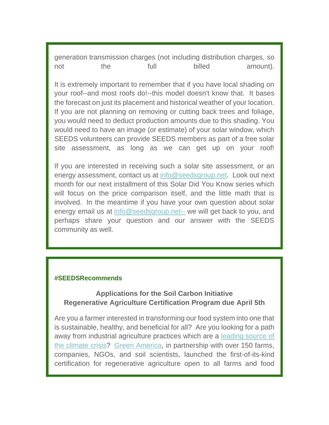generation transmission charges (not including distribution charges, so not the full billed amount).

It is extremely important to remember that if you have local shading on your roof--and most roofs do!--this model doesn't know that. It bases the forecast on just its placement and historical weather of your location. If you are not planning on removing or cutting back trees and foliage, you would need to deduct production amounts due to this shading. You would need to have an image (or estimate) of your solar window, which SEEDS volunteers can provide SEEDS members as part of a free solar site assessment, as long as we can get up on your roof!

If you are interested in receiving such a solar site assessment, or an energy assessment, contact us at [info@seedsgroup.net](mailto:info@seedsgroup.net--). Look out next month for our next installment of this Solar Did You Know series which will focus on the price comparison itself, and the little math that is involved. In the meantime if you have your own question about solar energy email us at [info@seedsgroup.net--](mailto:info@seedsgroup.net--) we will get back to you, and perhaps share your question and our answer with the SEEDS community as well.

#### **#SEEDSRecommends**

# **Applications for the Soil Carbon Initiative Regenerative Agriculture Certification Program due April 5th**

Are you a farmer interested in transforming our food system into one that is sustainable, healthy, and beneficial for all? Are you looking for a path away from industrial agriculture practices which are a [leading source of](https://seedsgroup.us4.list-manage.com/track/click?u=2de0c21d43d0fd0237e9e7b4f&id=3912e1df22&e=95734a3485)  [the climate crisis](https://seedsgroup.us4.list-manage.com/track/click?u=2de0c21d43d0fd0237e9e7b4f&id=3912e1df22&e=95734a3485)? [Green America](https://seedsgroup.us4.list-manage.com/track/click?u=2de0c21d43d0fd0237e9e7b4f&id=f97e6217f2&e=95734a3485), in partnership with over 150 farms, companies, NGOs, and soil scientists, launched the first-of-its-kind certification for regenerative agriculture open to all farms and food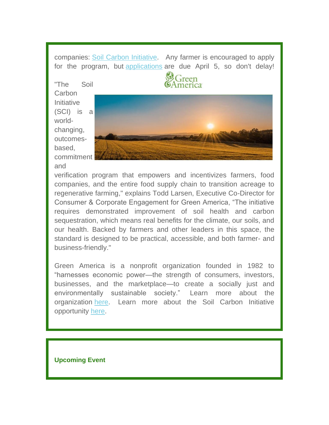companies: [Soil Carbon Initi](https://seedsgroup.us4.list-manage.com/track/click?u=2de0c21d43d0fd0237e9e7b4f&id=b422bbcbe1&e=95734a3485)[ative](https://seedsgroup.us4.list-manage.com/track/click?u=2de0c21d43d0fd0237e9e7b4f&id=e510ec4975&e=95734a3485). Any farmer is encouraged to apply for the program, but [applications](https://seedsgroup.us4.list-manage.com/track/click?u=2de0c21d43d0fd0237e9e7b4f&id=8cbb2372f2&e=95734a3485) [are due April 5, so don](https://seedsgroup.us4.list-manage.com/track/click?u=2de0c21d43d0fd0237e9e7b4f&id=68365b182b&e=95734a3485)'[t delay!](https://seedsgroup.us4.list-manage.com/track/click?u=2de0c21d43d0fd0237e9e7b4f&id=68365b182b&e=95734a3485)

"The Soil **Carbon** Initiative (SCI) is a worldchanging, outcomesbased, commitment and



Green

verification program that empowers and incentivizes farmers, food companies, and the entire food supply chain to transition acreage to regenerative farming," explains Todd Larsen, Executive Co-Director for Consumer & Corporate Engagement for Green America, "The initiative requires demonstrated improvement of soil health and carbon sequestration, which means real benefits for the climate, our soils, and our health. Backed by farmers and other leaders in this space, the standard is designed to be practical, accessible, and both farmer- and business-friendly."

Green America is a nonprofit organization founded in 1982 to "harnesses economic power—the strength of consumers, investors, businesses, and the marketplace—to create a socially just and environmentally sustainable society." Learn more about the organization [here](https://seedsgroup.us4.list-manage.com/track/click?u=2de0c21d43d0fd0237e9e7b4f&id=d83cfd8952&e=95734a3485). Learn more about the Soil Carbon Initiative opportunity [here](https://seedsgroup.us4.list-manage.com/track/click?u=2de0c21d43d0fd0237e9e7b4f&id=51a49db238&e=95734a3485).

#### **Upcoming Event**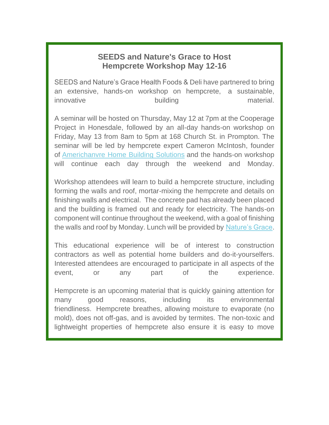# **SEEDS and Nature's Grace to Host Hempcrete Workshop May 12-16**

SEEDS and Nature's Grace Health Foods & Deli have partnered to bring an extensive, hands-on workshop on hempcrete, a sustainable, innovative building building material.

A seminar will be hosted on Thursday, May 12 at 7pm at the Cooperage Project in Honesdale, followed by an all-day hands-on workshop on Friday, May 13 from 8am to 5pm at 168 Church St. in Prompton. The seminar will be led by hempcrete expert Cameron McIntosh, founder of [Americhanvre Home Building Solutions](https://seedsgroup.us4.list-manage.com/track/click?u=2de0c21d43d0fd0237e9e7b4f&id=c902fd0507&e=95734a3485) and the hands-on workshop will continue each day through the weekend and Monday.

Workshop attendees will learn to build a hempcrete structure, including forming the walls and roof, mortar-mixing the hempcrete and details on finishing walls and electrical. The concrete pad has already been placed and the building is framed out and ready for electricity. The hands-on component will continue throughout the weekend, with a goal of finishing the walls and roof by Monday. Lunch will be provided by [Nature's Grace](https://seedsgroup.us4.list-manage.com/track/click?u=2de0c21d43d0fd0237e9e7b4f&id=0dd8442347&e=95734a3485).

This educational experience will be of interest to construction contractors as well as potential home builders and do-it-yourselfers. Interested attendees are encouraged to participate in all aspects of the event, or any part of the experience.

Hempcrete is an upcoming material that is quickly gaining attention for many good reasons, including its environmental friendliness. Hempcrete breathes, allowing moisture to evaporate (no mold), does not off-gas, and is avoided by termites. The non-toxic and lightweight properties of hempcrete also ensure it is easy to move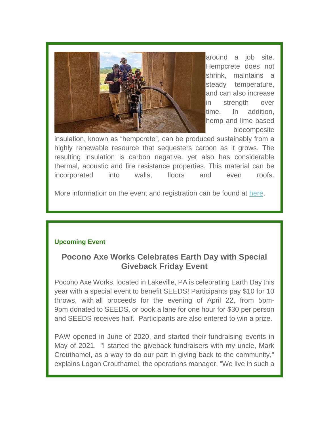

around a job site. Hempcrete does not shrink, maintains a steady temperature, and can also increase in strength over time. In addition, hemp and lime based biocomposite

insulation, known as "hempcrete", can be produced sustainably from a highly renewable resource that sequesters carbon as it grows. The resulting insulation is carbon negative, yet also has considerable thermal, acoustic and fire resistance properties. This material can be incorporated into walls, floors and even roofs.

More information on the event and registration can be found at [here](https://seedsgroup.us4.list-manage.com/track/click?u=2de0c21d43d0fd0237e9e7b4f&id=c8e44bdaec&e=95734a3485).

#### **Upcoming Event**

# **Pocono Axe Works Celebrates Earth Day with Special Giveback Friday Event**

Pocono Axe Works, located in Lakeville, PA is celebrating Earth Day this year with a special event to benefit SEEDS! Participants pay \$10 for 10 throws, with all proceeds for the evening of April 22, from 5pm-9pm donated to SEEDS, or book a lane for one hour for \$30 per person and SEEDS receives half. Participants are also entered to win a prize.

PAW opened in June of 2020, and started their fundraising events in May of 2021. "I started the giveback fundraisers with my uncle, Mark Crouthamel, as a way to do our part in giving back to the community," explains Logan Crouthamel, the operations manager, "We live in such a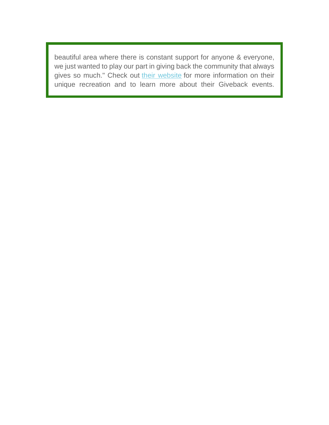beautiful area where there is constant support for anyone & everyone, we just wanted to play our part in giving back the community that always gives so much." Check out [their website](https://seedsgroup.us4.list-manage.com/track/click?u=2de0c21d43d0fd0237e9e7b4f&id=2f078ea3b0&e=95734a3485) for more information on their unique recreation and to learn more about their Giveback events.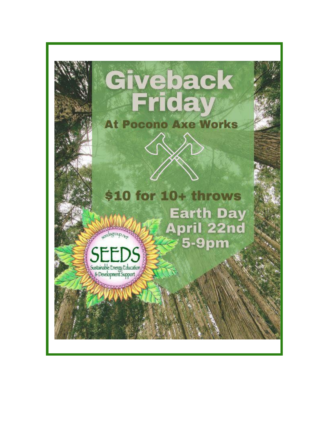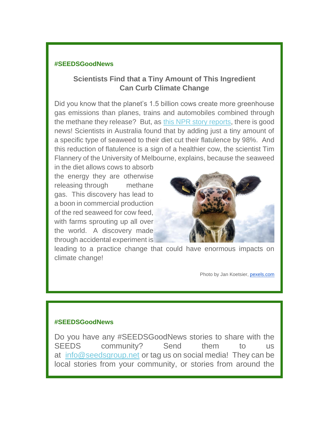#### **#SEEDSGoodNews**

# **Scientists Find that a Tiny Amount of This Ingredient Can Curb Climate Change**

Did you know that the planet's 1.5 billion cows create more greenhouse gas emissions than planes, trains and automobiles combined through the methane they release? But, as [this NPR story reports](https://seedsgroup.us4.list-manage.com/track/click?u=2de0c21d43d0fd0237e9e7b4f&id=eb2ae26765&e=95734a3485), there is good news! Scientists in Australia found that by adding just a tiny amount of a specific type of seaweed to their diet cut their flatulence by 98%. And this reduction of flatulence is a sign of a healthier cow, the scientist Tim Flannery of the University of Melbourne, explains, because the seaweed

in the diet allows cows to absorb the energy they are otherwise releasing through methane gas. This discovery has lead to a boon in commercial production of the red seaweed for cow feed, with farms sprouting up all over the world. A discovery made through accidental experiment is



leading to a practice change that could have enormous impacts on climate change!

Photo by Jan Koetsier, [pexels.com](http://pexels.com/)

#### **#SEEDSGoodNews**

Do you have any #SEEDSGoodNews stories to share with the SEEDS community? Send them to us at [info@seedsgroup.net](mailto:info@seedsgroup.net) or tag us on social media! They can be local stories from your community, or stories from around the